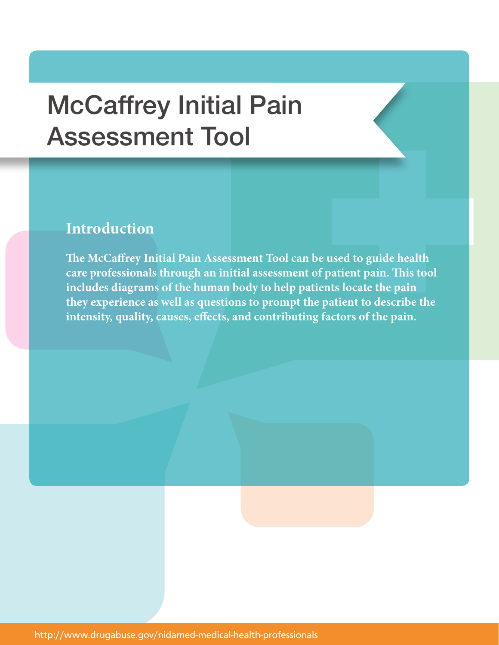## McCaffrey Initial Pain Assessment Tool

## **Introduction**

**The McCaffrey Initial Pain Assessment Tool can be used to guide health care professionals through an initial assessment of patient pain. This tool includes diagrams of the human body to help patients locate the pain they experience as well as questions to prompt the patient to describe the intensity, quality, causes, effects, and contributing factors of the pain.**